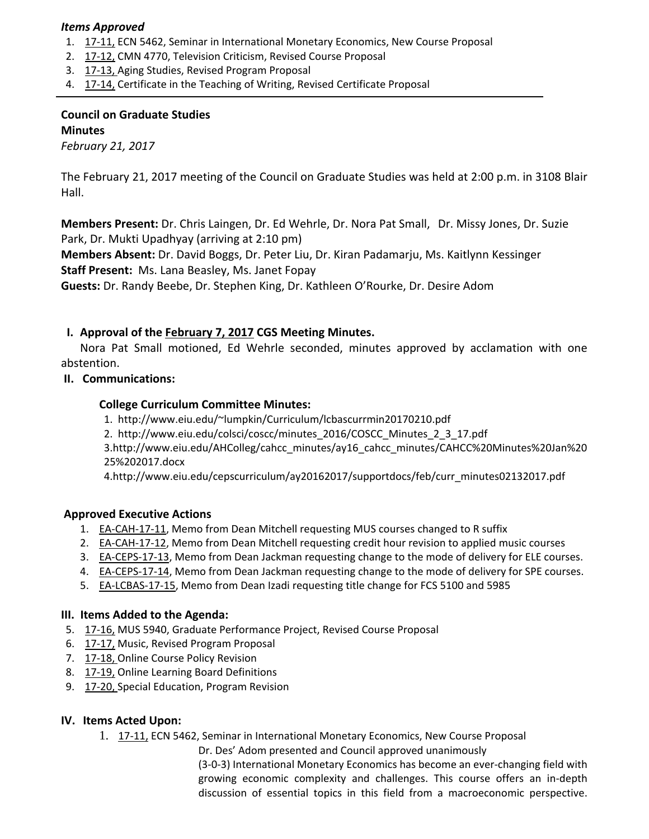#### *Items Approved*

- 1. [17](http://castle.eiu.edu/eiucgs/currentagendaitems/agenda17-11.pdf)-11, ECN 5462, Seminar in International Monetary Economics, New Course Proposal
- 2. [17](http://castle.eiu.edu/eiucgs/currentagendaitems/agenda17-12.pdf)‐12, CMN 4770, Television Criticism, Revised Course Proposal
- 3. [17](http://castle.eiu.edu/eiucgs/currentagendaitems/agenda17-13.pdf)‐13, Aging Studies, Revised Program Proposal
- 4. [17](http://castle.eiu.edu/eiucgs/currentagendaitems/agenda17-14.pdf)‐14, Certificate in the Teaching of Writing, Revised Certificate Proposal

# **Council on Graduate Studies Minutes**

*February 21, 2017*

The February 21, 2017 meeting of the Council on Graduate Studies was held at 2:00 p.m. in 3108 Blair Hall.

**Members Present:** Dr. Chris Laingen, Dr. Ed Wehrle, Dr. Nora Pat Small, Dr. Missy Jones, Dr. Suzie Park, Dr. Mukti Upadhyay (arriving at 2:10 pm)

**Members Absent:** Dr. David Boggs, Dr. Peter Liu, Dr. Kiran Padamarju, Ms. Kaitlynn Kessinger **Staff Present:** Ms. Lana Beasley, Ms. Janet Fopay

**Guests:** Dr. Randy Beebe, Dr. Stephen King, Dr. Kathleen O'Rourke, Dr. Desire Adom

## **I. Approval of the [February](http://castle.eiu.edu/eiucgs/currentminutes/Minutes2-7-17.pdf) 7, 2017 CGS Meeting Minutes.**

Nora Pat Small motioned, Ed Wehrle seconded, minutes approved by acclamation with one abstention.

#### **II. Communications:**

## **College Curriculum Committee Minutes:**

1. [http://www.eiu.edu/~lumpkin/Curriculum/lcbascurrmin20170210.pdf](http://www.eiu.edu/lumpkin/Curriculum/lcbascurrmin20170210.pdf)

2. [http://www.eiu.edu/colsci/coscc/minutes\\_2016/COSCC\\_Minutes\\_2\\_3\\_17.pdf](http://www.eiu.edu/colsci/coscc/minutes_2016/COSCC_Minutes_2_3_17.pdf)

3.[http://www.eiu.edu/AHColleg/cahcc\\_minutes/ay16\\_cahcc\\_minutes/CAHCC%20Minutes%20Jan%20](http://www.eiu.edu/AHColleg/cahcc_minutes/ay16_cahcc_minutes/CAHCC%20Minutes%20Jan%2025%202017.docx) 25%202017.docx

4.[http://www.eiu.edu/cepscurriculum/ay20162017/supportdocs/feb/curr\\_minutes02132017.pdf](http://www.eiu.edu/cepscurriculum/ay20162017/supportdocs/feb/curr_minutes02132017.pdf)

## **Approved Executive Actions**

- 1. EA-[CAH](http://castle.eiu.edu/eiucgs/exec-actions/EA-CAH-17-11.pdf)-17-11, Memo from Dean Mitchell requesting MUS courses changed to R suffix
- 2. EA-[CAH](http://castle.eiu.edu/eiucgs/exec-actions/EA-CAH-17-12.pdf)-17-12, Memo from Dean Mitchell requesting credit hour revision to applied music courses
- 3. EA-[CEPS](http://castle.eiu.edu/eiucgs/exec-actions/EA-CEPS-17-13.pdf)-17-13, Memo from Dean Jackman requesting change to the mode of delivery for ELE courses.
- 4. EA-[CEPS](http://castle.eiu.edu/eiucgs/exec-actions/EA-CEPS-17-14.pdf)-17-14, Memo from Dean Jackman requesting change to the mode of delivery for SPE courses.
- 5. EA-[LCBAS](http://castle.eiu.edu/eiucgs/exec-actions/EA-LCBAS-17-15.pdf)-17-15, Memo from Dean Izadi requesting title change for FCS 5100 and 5985

#### **III. Items Added to the Agenda:**

- 5. [17](http://castle.eiu.edu/eiucgs/currentagendaitems/agenda17-16.pdf)‐16, MUS 5940, Graduate Performance Project, Revised Course Proposal
- 6. [17](http://castle.eiu.edu/eiucgs/currentagendaitems/agenda17-17.pdf)‐17, Music, Revised Program Proposal
- 7. [17](http://castle.eiu.edu/eiucgs/currentagendaitems/agenda17-18.pdf)-18, Online Course Policy Revision
- 8. [17](http://castle.eiu.edu/eiucgs/currentagendaitems/agenda17-19.pdf)‐19, Online Learning Board Definitions
- 9. [17](http://castle.eiu.edu/eiucgs/currentagendaitems/agenda17-20.pdf)-20, Special Education, Program Revision

#### **IV. Items Acted Upon:**

1. 17‐[11,](http://castle.eiu.edu/eiucgs/exec-actions/EA-CAH-17-11.pdf) ECN 5462, Seminar in International Monetary Economics, New Course Proposal

Dr. Des' Adom presented and Council approved unanimously

(3‐0‐3) International Monetary Economics has become an ever‐changing field with growing economic complexity and challenges. This course offers an in‐depth discussion of essential topics in this field from a macroeconomic perspective.